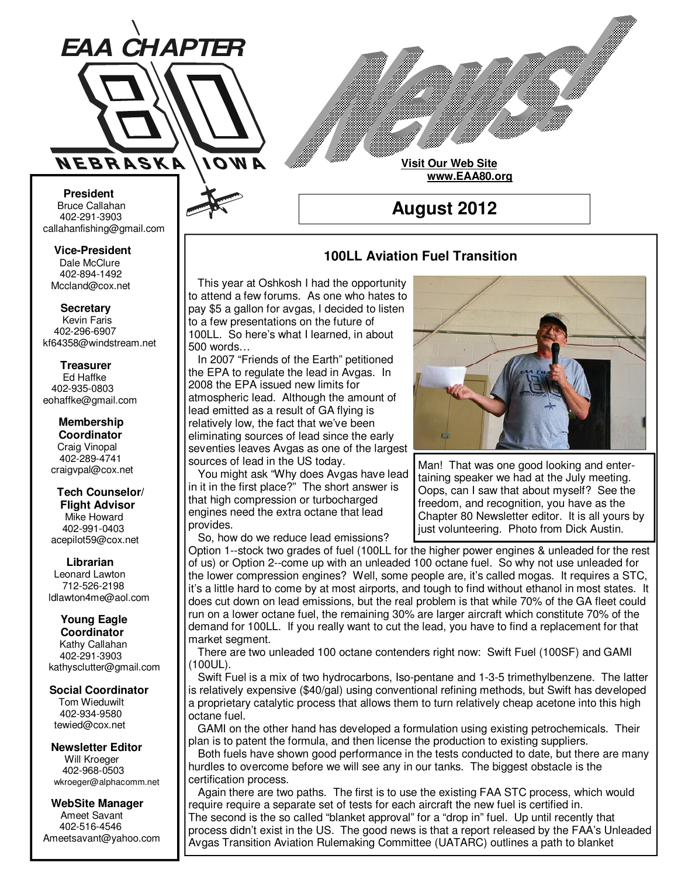

**Visit Our Web Site www.EAA80.org**

**August 2012** 

#### **100LL Aviation Fuel Transition**

 This year at Oshkosh I had the opportunity to attend a few forums. As one who hates to pay \$5 a gallon for avgas, I decided to listen to a few presentations on the future of 100LL. So here's what I learned, in about 500 words…

 In 2007 "Friends of the Earth" petitioned the EPA to regulate the lead in Avgas. In 2008 the EPA issued new limits for atmospheric lead. Although the amount of lead emitted as a result of GA flying is relatively low, the fact that we've been eliminating sources of lead since the early seventies leaves Avgas as one of the largest sources of lead in the US today.

 You might ask "Why does Avgas have lead in it in the first place?" The short answer is that high compression or turbocharged engines need the extra octane that lead provides.

So, how do we reduce lead emissions?



Man! That was one good looking and entertaining speaker we had at the July meeting. Oops, can I saw that about myself? See the freedom, and recognition, you have as the Chapter 80 Newsletter editor. It is all yours by just volunteering. Photo from Dick Austin.

Option 1--stock two grades of fuel (100LL for the higher power engines & unleaded for the rest of us) or Option 2--come up with an unleaded 100 octane fuel. So why not use unleaded for the lower compression engines? Well, some people are, it's called mogas. It requires a STC, it's a little hard to come by at most airports, and tough to find without ethanol in most states. It does cut down on lead emissions, but the real problem is that while 70% of the GA fleet could run on a lower octane fuel, the remaining 30% are larger aircraft which constitute 70% of the demand for 100LL. If you really want to cut the lead, you have to find a replacement for that market segment.

 There are two unleaded 100 octane contenders right now: Swift Fuel (100SF) and GAMI (100UL).

 Swift Fuel is a mix of two hydrocarbons, Iso-pentane and 1-3-5 trimethylbenzene. The latter is relatively expensive (\$40/gal) using conventional refining methods, but Swift has developed a proprietary catalytic process that allows them to turn relatively cheap acetone into this high octane fuel.

 GAMI on the other hand has developed a formulation using existing petrochemicals. Their plan is to patent the formula, and then license the production to existing suppliers.

 Both fuels have shown good performance in the tests conducted to date, but there are many hurdles to overcome before we will see any in our tanks. The biggest obstacle is the certification process.

 Again there are two paths. The first is to use the existing FAA STC process, which would require require a separate set of tests for each aircraft the new fuel is certified in. The second is the so called "blanket approval" for a "drop in" fuel. Up until recently that process didn't exist in the US. The good news is that a report released by the FAA's Unleaded Avgas Transition Aviation Rulemaking Committee (UATARC) outlines a path to blanket

**Bruce Callahan** 402-291-3903 callahanfishing@gmail.com jrnuke@cox.net  **President** 

Dale McClure 402-894-1492 Mccland@cox.net  **Vice-President** 

**Kevin Faris** 402-296-6907 kf64358@windstream.net  **Secretary** 

Ed Haffke 402-935-0803 eohaffke@gmail.com  **Treasurer** 

eohaffke@gmail.com **Membership Coordi- Coordinator**  Craig Vinopal Bob Cartwright 402-289-4741 craigvpal@cox.net  **Membership** 

robertc@novia.net **Tech Counselors & Flight Advisor** Mike Howard Bob Harvey 402-991-0403 acepilot59@cox.net  **Tech Counselor/** 

Leonard Lawton 402-991-0403 712-526-2198 ldlawton4me@aol.com  **Librarian**

**Librarian Young Eagle Coordinator** Kathy Callahan ldlawton4me@aol.com 402-291-3903 kathysclutter@gmail.com

#### **Coordinator Social Coordinator**

Tom Wieduwilt 402-964-2645 402-934-9580 tewied@cox.net

**Newsletter Editor Newsletter Editor**  Will Kroeger Will Kroeger 402-968-0503 wkroeger@alphacomm.net

**WebSite Manager WebSite Manager**  Ameet Savant Ameet Savant 402-516-4546 402-516-4546 ameetsavant@Yahoo.com Ameetsavant@yahoo.com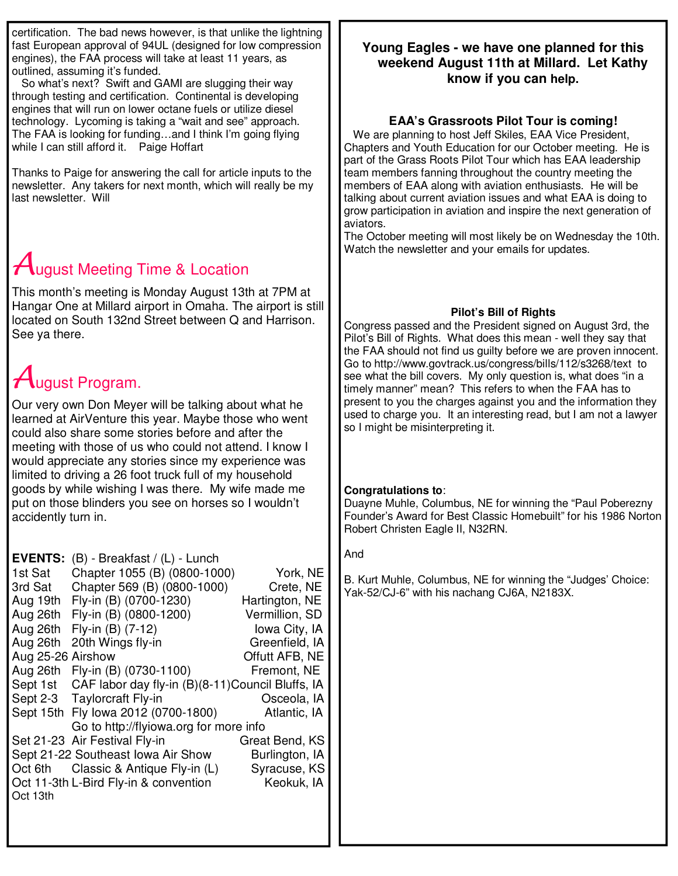certification. The bad news however, is that unlike the lightning fast European approval of 94UL (designed for low compression engines), the FAA process will take at least 11 years, as outlined, assuming it's funded.

 So what's next? Swift and GAMI are slugging their way through testing and certification. Continental is developing engines that will run on lower octane fuels or utilize diesel technology. Lycoming is taking a "wait and see" approach. The FAA is looking for funding…and I think I'm going flying while I can still afford it. Paige Hoffart

Thanks to Paige for answering the call for article inputs to the newsletter. Any takers for next month, which will really be my last newsletter. Will

## $\mathcal A$ ugust Meeting Time & Location

This month's meeting is Monday August 13th at 7PM at Hangar One at Millard airport in Omaha. The airport is still located on South 132nd Street between Q and Harrison. See ya there.

# August Program.

Our very own Don Meyer will be talking about what he learned at AirVenture this year. Maybe those who went could also share some stories before and after the meeting with those of us who could not attend. I know I would appreciate any stories since my experience was limited to driving a 26 foot truck full of my household goods by while wishing I was there. My wife made me put on those blinders you see on horses so I wouldn't accidently turn in.

| <b>EVENTS:</b>    | $(B)$ - Breakfast / $(L)$ - Lunch                 |                |
|-------------------|---------------------------------------------------|----------------|
| 1st Sat           | Chapter 1055 (B) (0800-1000)                      | York, NE       |
| 3rd Sat           | Chapter 569 (B) (0800-1000)                       | Crete, NE      |
| Aug 19th          | Fly-in (B) (0700-1230)                            | Hartington, NE |
| Aug 26th          | Fly-in (B) (0800-1200)                            | Vermillion, SD |
| Aug 26th          | Fly-in (B) (7-12)                                 | Iowa City, IA  |
| Aug 26th          | 20th Wings fly-in                                 | Greenfield, IA |
| Aug 25-26 Airshow |                                                   | Offutt AFB, NE |
| Aug 26th          | Fly-in (B) (0730-1100)                            | Fremont, NE    |
| Sept 1st          | CAF labor day fly-in (B)(8-11) Council Bluffs, IA |                |
|                   | Sept 2-3 Taylorcraft Fly-in                       | Osceola, IA    |
| Sept 15th         | Fly lowa 2012 (0700-1800)                         | Atlantic, IA   |
|                   | Go to http://flyiowa.org for more info            |                |
|                   | Set 21-23 Air Festival Fly-in                     | Great Bend, KS |
|                   | Sept 21-22 Southeast Iowa Air Show                | Burlington, IA |
| Oct 6th           | Classic & Antique Fly-in (L)                      | Syracuse, KS   |
|                   | Oct 11-3th L-Bird Fly-in & convention             | Keokuk, IA     |
| Oct 13th          |                                                   |                |
|                   |                                                   |                |

## **Young Eagles - we have one planned for this weekend August 11th at Millard. Let Kathy know if you can help.**

## **EAA's Grassroots Pilot Tour is coming!**

 We are planning to host Jeff Skiles, EAA Vice President, Chapters and Youth Education for our October meeting. He is part of the Grass Roots Pilot Tour which has EAA leadership team members fanning throughout the country meeting the members of EAA along with aviation enthusiasts. He will be talking about current aviation issues and what EAA is doing to grow participation in aviation and inspire the next generation of aviators.

The October meeting will most likely be on Wednesday the 10th. Watch the newsletter and your emails for updates.

## **Pilot's Bill of Rights**

Congress passed and the President signed on August 3rd, the Pilot's Bill of Rights. What does this mean - well they say that the FAA should not find us guilty before we are proven innocent. Go to http://www.govtrack.us/congress/bills/112/s3268/text to see what the bill covers. My only question is, what does "in a timely manner" mean? This refers to when the FAA has to present to you the charges against you and the information they used to charge you. It an interesting read, but I am not a lawyer so I might be misinterpreting it.

## **Congratulations to**:

Duayne Muhle, Columbus, NE for winning the "Paul Poberezny Founder's Award for Best Classic Homebuilt" for his 1986 Norton Robert Christen Eagle II, N32RN.

#### And

B. Kurt Muhle, Columbus, NE for winning the "Judges' Choice: Yak-52/CJ-6" with his nachang CJ6A, N2183X.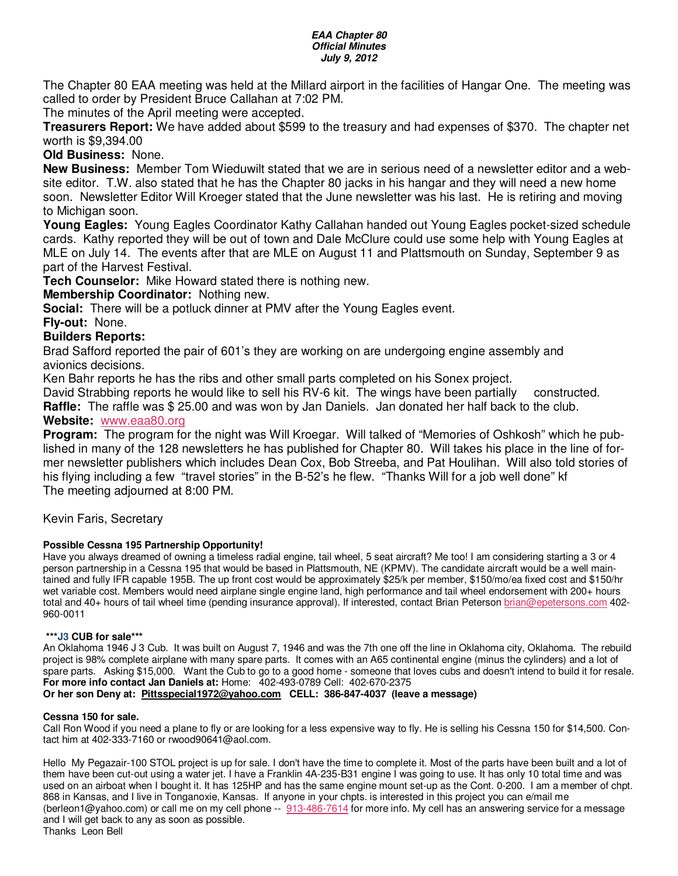#### **EAA Chapter 80 Official Minutes July 9, 2012**

The Chapter 80 EAA meeting was held at the Millard airport in the facilities of Hangar One. The meeting was called to order by President Bruce Callahan at 7:02 PM.

The minutes of the April meeting were accepted.

**Treasurers Report:** We have added about \$599 to the treasury and had expenses of \$370. The chapter net worth is \$9,394.00

**Old Business:** None.

**New Business:** Member Tom Wieduwilt stated that we are in serious need of a newsletter editor and a website editor. T.W. also stated that he has the Chapter 80 jacks in his hangar and they will need a new home soon. Newsletter Editor Will Kroeger stated that the June newsletter was his last. He is retiring and moving to Michigan soon.

**Young Eagles:** Young Eagles Coordinator Kathy Callahan handed out Young Eagles pocket-sized schedule cards. Kathy reported they will be out of town and Dale McClure could use some help with Young Eagles at MLE on July 14. The events after that are MLE on August 11 and Plattsmouth on Sunday, September 9 as part of the Harvest Festival.

**Tech Counselor:** Mike Howard stated there is nothing new.

**Membership Coordinator:** Nothing new.

**Social:** There will be a potluck dinner at PMV after the Young Eagles event.

**Fly-out:** None.

#### **Builders Reports:**

Brad Safford reported the pair of 601's they are working on are undergoing engine assembly and avionics decisions.

Ken Bahr reports he has the ribs and other small parts completed on his Sonex project.

David Strabbing reports he would like to sell his RV-6 kit. The wings have been partially constructed.

**Raffle:** The raffle was \$ 25.00 and was won by Jan Daniels. Jan donated her half back to the club. **Website:** www.eaa80.org

**Program:** The program for the night was Will Kroegar. Will talked of "Memories of Oshkosh" which he published in many of the 128 newsletters he has published for Chapter 80. Will takes his place in the line of former newsletter publishers which includes Dean Cox, Bob Streeba, and Pat Houlihan. Will also told stories of his flying including a few "travel stories" in the B-52's he flew. "Thanks Will for a job well done" kf The meeting adjourned at 8:00 PM.

#### Kevin Faris, Secretary

#### **Possible Cessna 195 Partnership Opportunity!**

Have you always dreamed of owning a timeless radial engine, tail wheel, 5 seat aircraft? Me too! I am considering starting a 3 or 4 person partnership in a Cessna 195 that would be based in Plattsmouth, NE (KPMV). The candidate aircraft would be a well maintained and fully IFR capable 195B. The up front cost would be approximately \$25/k per member, \$150/mo/ea fixed cost and \$150/hr wet variable cost. Members would need airplane single engine land, high performance and tail wheel endorsement with 200+ hours total and 40+ hours of tail wheel time (pending insurance approval). If interested, contact Brian Peterson brian@epetersons.com 402-960-0011

#### **\*\*\*J3 CUB for sale\*\*\***

An Oklahoma 1946 J 3 Cub. It was built on August 7, 1946 and was the 7th one off the line in Oklahoma city, Oklahoma. The rebuild project is 98% complete airplane with many spare parts. It comes with an A65 continental engine (minus the cylinders) and a lot of spare parts. Asking \$15,000. Want the Cub to go to a good home - someone that loves cubs and doesn't intend to build it for resale. **For more info contact Jan Daniels at:** Home: 402-493-0789 Cell: 402-670-2375 **Or her son Deny at: Pittsspecial1972@yahoo.com CELL: 386-847-4037 (leave a message)** 

#### **Cessna 150 for sale.**

Call Ron Wood if you need a plane to fly or are looking for a less expensive way to fly. He is selling his Cessna 150 for \$14,500. Contact him at 402-333-7160 or rwood90641@aol.com.

Hello My Pegazair-100 STOL project is up for sale. I don't have the time to complete it. Most of the parts have been built and a lot of them have been cut-out using a water jet. I have a Franklin 4A-235-B31 engine I was going to use. It has only 10 total time and was used on an airboat when I bought it. It has 125HP and has the same engine mount set-up as the Cont. 0-200. I am a member of chpt. 868 in Kansas, and I live in Tonganoxie, Kansas. If anyone in your chpts. is interested in this project you can e/mail me (berleon1@yahoo.com) or call me on my cell phone -- 913-486-7614 for more info. My cell has an answering service for a message and I will get back to any as soon as possible. Thanks Leon Bell